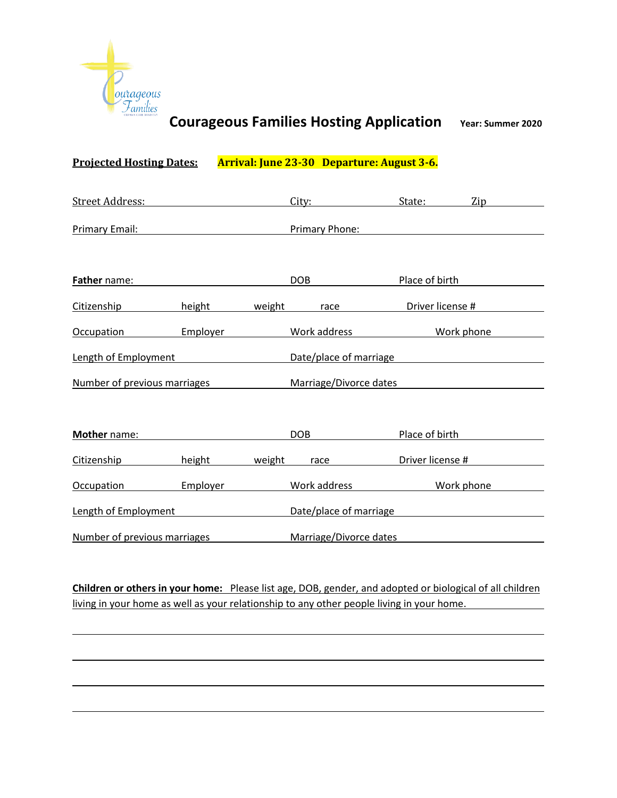

# **Projected Hosting Dates: Arrival: June 23-30 Departure: August 3-6.** Street Address: City: City: State: Zip Primary Email: Primary Phone: **Father** name: **DOB** Place of birth **Place of birth** Citizenship height weight race Driver license # Occupation Employer Work address Work phone Length of Employment **Date/place of marriage** Number of previous marriages Marriage/Divorce dates **Mother** name: **DOB** Place of birth Citizenship height weight race Driver license # Occupation Employer Work address Work phone Length of Employment **Date/place of marriage** Number of previous marriages Marriage/Divorce dates

**Children or others in your home:** Please list age, DOB, gender, and adopted or biological of all children living in your home as well as your relationship to any other people living in your home.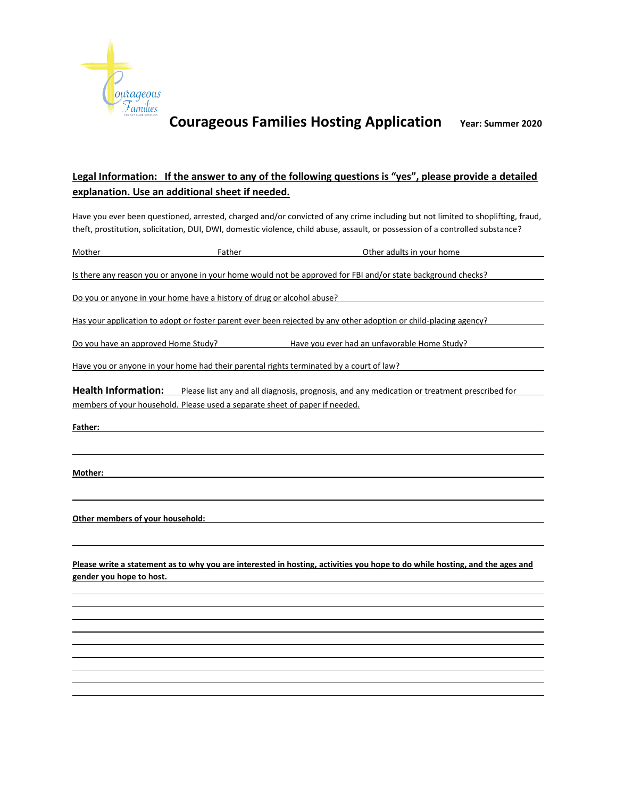

### **Legal Information: If the answer to any of the following questions is "yes", please provide a detailed explanation. Use an additional sheet if needed.**

Have you ever been questioned, arrested, charged and/or convicted of any crime including but not limited to shoplifting, fraud, theft, prostitution, solicitation, DUI, DWI, domestic violence, child abuse, assault, or possession of a controlled substance?

Mother **Father** Father **Faction Father Contract Contract Contract Other adults in your home** 

Is there any reason you or anyone in your home would not be approved for FBI and/or state background checks?

Do you or anyone in your home have a history of drug or alcohol abuse?

Has your application to adopt or foster parent ever been rejected by any other adoption or child-placing agency?

Do you have an approved Home Study? Have you ever had an unfavorable Home Study?

Have you or anyone in your home had their parental rights terminated by a court of law?

**Health Information:** Please list any and all diagnosis, prognosis, and any medication or treatment prescribed for members of your household. Please used a separate sheet of paper if needed.

**Father:**

**Mother:**

**Other members of your household:**

**Please write a statement as to why you are interested in hosting, activities you hope to do while hosting, and the ages and gender you hope to host.**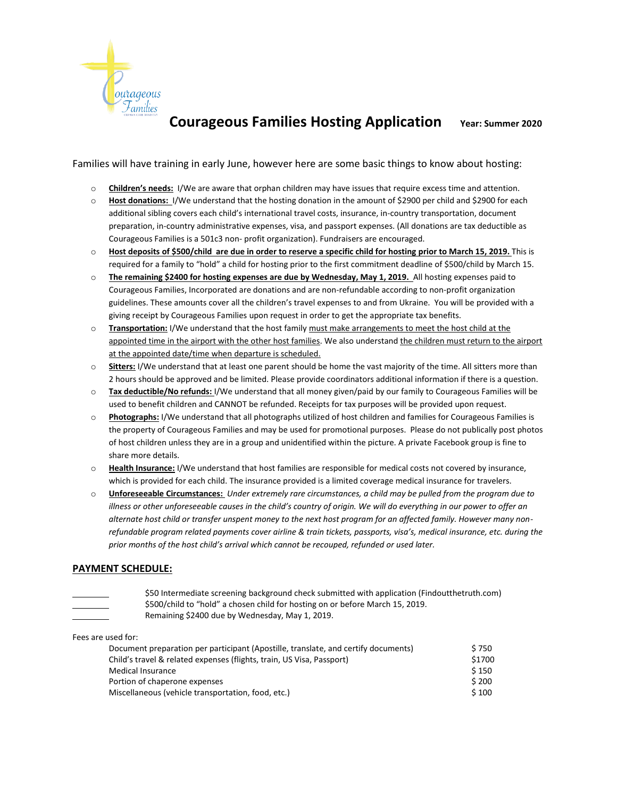

Families will have training in early June, however here are some basic things to know about hosting:

- o **Children's needs:** I/We are aware that orphan children may have issues that require excess time and attention.
- o **Host donations:** I/We understand that the hosting donation in the amount of \$2900 per child and \$2900 for each additional sibling covers each child's international travel costs, insurance, in-country transportation, document preparation, in-country administrative expenses, visa, and passport expenses. (All donations are tax deductible as Courageous Families is a 501c3 non- profit organization). Fundraisers are encouraged.
- o **Host deposits of \$500/child are due in order to reserve a specific child for hosting prior to March 15, 2019.** This is required for a family to "hold" a child for hosting prior to the first commitment deadline of \$500/child by March 15.
- o **The remaining \$2400 for hosting expenses are due by Wednesday, May 1, 2019.** All hosting expenses paid to Courageous Families, Incorporated are donations and are non-refundable according to non-profit organization guidelines. These amounts cover all the children's travel expenses to and from Ukraine. You will be provided with a giving receipt by Courageous Families upon request in order to get the appropriate tax benefits.
- o **Transportation:** I/We understand that the host family must make arrangements to meet the host child at the appointed time in the airport with the other host families. We also understand the children must return to the airport at the appointed date/time when departure is scheduled.
- o **Sitters:** I/We understand that at least one parent should be home the vast majority of the time. All sitters more than 2 hours should be approved and be limited. Please provide coordinators additional information if there is a question.
- o **Tax deductible/No refunds:** I/We understand that all money given/paid by our family to Courageous Families will be used to benefit children and CANNOT be refunded. Receipts for tax purposes will be provided upon request.
- o **Photographs:** I/We understand that all photographs utilized of host children and families for Courageous Families is the property of Courageous Families and may be used for promotional purposes. Please do not publically post photos of host children unless they are in a group and unidentified within the picture. A private Facebook group is fine to share more details.
- o **Health Insurance:** I/We understand that host families are responsible for medical costs not covered by insurance, which is provided for each child. The insurance provided is a limited coverage medical insurance for travelers.
- o **Unforeseeable Circumstances:** *Under extremely rare circumstances, a child may be pulled from the program due to illness or other unforeseeable causes in the child's country of origin. We will do everything in our power to offer an alternate host child or transfer unspent money to the next host program for an affected family. However many nonrefundable program related payments cover airline & train tickets, passports, visa's, medical insurance, etc. during the prior months of the host child's arrival which cannot be recouped, refunded or used later.*

#### **PAYMENT SCHEDULE:**

\$50 Intermediate screening background check submitted with application (Findoutthetruth.com) \$500/child to "hold" a chosen child for hosting on or before March 15, 2019. Remaining \$2400 due by Wednesday, May 1, 2019.

| Fees are used for:                                                                 |        |
|------------------------------------------------------------------------------------|--------|
| Document preparation per participant (Apostille, translate, and certify documents) | \$750  |
| Child's travel & related expenses (flights, train, US Visa, Passport)              | \$1700 |
| <b>Medical Insurance</b>                                                           | \$150  |
| Portion of chaperone expenses                                                      | \$200  |
| Miscellaneous (vehicle transportation, food, etc.)                                 | \$100  |
|                                                                                    |        |